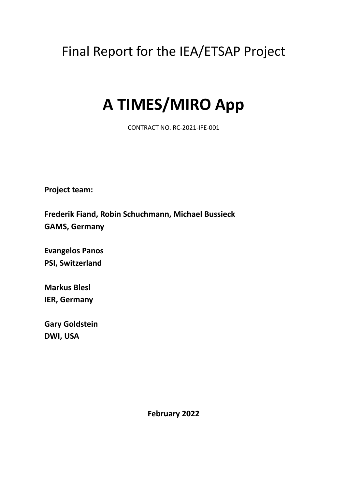## Final Report for the IEA/ETSAP Project

# **A TIMES/MIRO App**

CONTRACT NO. RC-2021-IFE-001

**Project team:**

**Frederik Fiand, Robin Schuchmann, Michael Bussieck GAMS, Germany**

**Evangelos Panos PSI, Switzerland**

**Markus Blesl IER, Germany**

**Gary Goldstein DWI, USA**

**February 2022**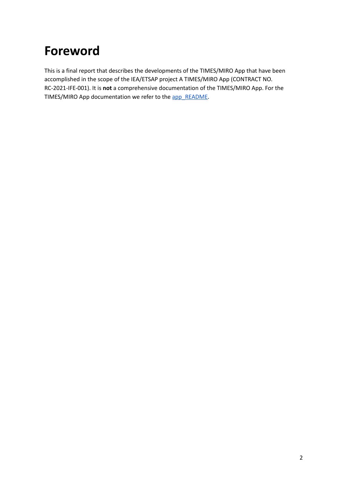## **Foreword**

This is a final report that describes the developments of the TIMES/MIRO App that have been accomplished in the scope of the IEA/ETSAP project A TIMES/MIRO App (CONTRACT NO. RC-2021-IFE-001). It is **not** a comprehensive documentation of the TIMES/MIRO App. For the TIMES/MIRO App documentation we refer to the [app\\_README.](https://github.com/GAMS-dev/TIMES_MIRO/blob/master/app_README.md)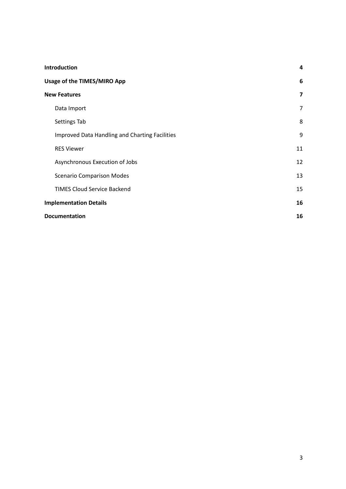| <b>Introduction</b>                            | 4                       |
|------------------------------------------------|-------------------------|
| Usage of the TIMES/MIRO App                    | 6                       |
| <b>New Features</b>                            | $\overline{\mathbf{z}}$ |
| Data Import                                    | 7                       |
| Settings Tab                                   | 8                       |
| Improved Data Handling and Charting Facilities | 9                       |
| <b>RES Viewer</b>                              | 11                      |
| Asynchronous Execution of Jobs                 | 12                      |
| <b>Scenario Comparison Modes</b>               | 13                      |
| <b>TIMES Cloud Service Backend</b>             | 15                      |
| <b>Implementation Details</b>                  | 16                      |
| <b>Documentation</b>                           | 16                      |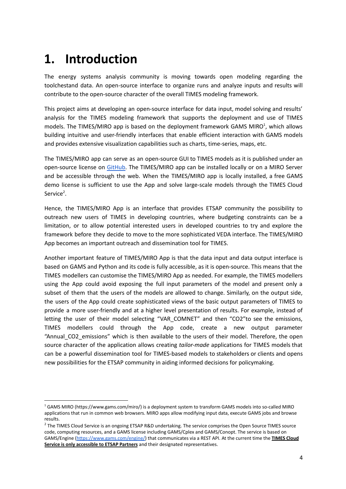## <span id="page-3-0"></span>**1. Introduction**

The energy systems analysis community is moving towards open modeling regarding the toolchestand data. An open-source interface to organize runs and analyze inputs and results will contribute to the open-source character of the overall TIMES modeling framework.

This project aims at developing an open-source interface for data input, model solving and results' analysis for the TIMES modeling framework that supports the deployment and use of TIMES models. The TIMES/MIRO app is based on the deployment framework GAMS MIRO<sup>1</sup>, which allows building intuitive and user-friendly interfaces that enable efficient interaction with GAMS models and provides extensive visualization capabilities such as charts, time-series, maps, etc.

The TIMES/MIRO app can serve as an open-source GUI to TIMES models as it is published under an open-source license on [GitHub.](https://github.com/GAMS-dev/TIMES_MIRO) The TIMES/MIRO app can be installed locally or on a MIRO Server and be accessible through the web. When the TIMES/MIRO app is locally installed, a free GAMS demo license is sufficient to use the App and solve large-scale models through the TIMES Cloud Service<sup>2</sup>.

Hence, the TIMES/MIRO App is an interface that provides ETSAP community the possibility to outreach new users of TIMES in developing countries, where budgeting constraints can be a limitation, or to allow potential interested users in developed countries to try and explore the framework before they decide to move to the more sophisticated VEDA interface. The TIMES/MIRO App becomes an important outreach and dissemination tool for TIMES.

Another important feature of TIMES/MIRO App is that the data input and data output interface is based on GAMS and Python and its code is fully accessible, as it is open-source. This means that the TIMES modellers can customise the TIMES/MIRO App as needed. For example, the TIMES modellers using the App could avoid exposing the full input parameters of the model and present only a subset of them that the users of the models are allowed to change. Similarly, on the output side, the users of the App could create sophisticated views of the basic output parameters of TIMES to provide a more user-friendly and at a higher level presentation of results. For example, instead of letting the user of their model selecting "VAR COMNET" and then "CO2"to see the emissions, TIMES modellers could through the App code, create a new output parameter "Annual CO2 emissions" which is then available to the users of their model. Therefore, the open source character of the application allows creating *tailor-made* applications for TIMES models that can be a powerful dissemination tool for TIMES-based models to stakeholders or clients and opens new possibilities for the ETSAP community in aiding informed decisions for policymaking.

<sup>1</sup> GAMS MIRO (https://www.gams.com/miro/) is a deployment system to transform GAMS models into so-called MIRO applications that run in common web browsers. MIRO apps allow modifying input data, execute GAMS jobs and browse results.

<sup>&</sup>lt;sup>2</sup> The TIMES Cloud Service is an ongoing ETSAP R&D undertaking. The service comprises the Open Source TIMES source code, computing resources, and a GAMS license including GAMS/Cplex and GAMS/Conopt. The service is based on GAMS/Engine [\(https://www.gams.com/engine/\)](https://www.gams.com/engine/) that communicates via a REST API. At the current time the **TIMES Cloud Service is only accessible to ETSAP Partners** and their designated representatives.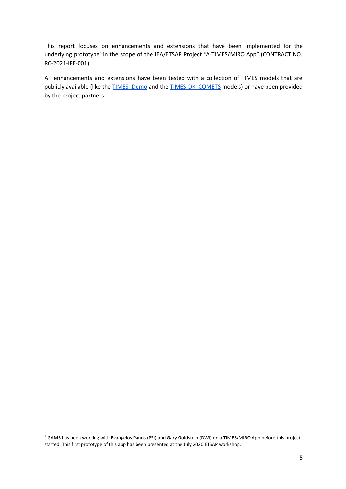This report focuses on enhancements and extensions that have been implemented for the underlying prototype<sup>3</sup> in the scope of the IEA/ETSAP Project "A TIMES/MIRO App" (CONTRACT NO. RC-2021-IFE-001).

All enhancements and extensions have been tested with a collection of TIMES models that are publicly available (like the [TIMES\\_Demo](https://github.com/etsap-TIMES/TIMES_Demo) and the [TIMES-DK\\_COMETS](https://github.com/energy-modelling-club/TIMES-DK_COMETS) models) or have been provided by the project partners.

<sup>&</sup>lt;sup>3</sup> GAMS has been working with Evangelos Panos (PSI) and Gary Goldstein (DWI) on a TIMES/MIRO App before this project started. This first prototype of this app has been presented at the July 2020 ETSAP workshop.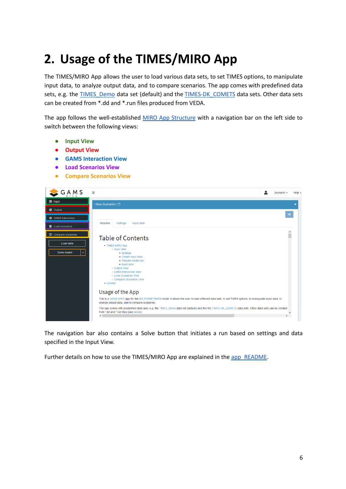## <span id="page-5-0"></span>**2. Usage of the TIMES/MIRO App**

The TIMES/MIRO App allows the user to load various data sets, to set TIMES options, to manipulate input data, to analyze output data, and to compare scenarios. The app comes with predefined data sets, e.g. the TIMES Demo data set (default) and the TIMES-DK COMETS data sets. Other data sets can be created from \*.dd and \*.run files produced from VEDA.

The app follows the well-established MIRO App [Structure](https://www.gams.com/miro/start.html#miro-structure) with a navigation bar on the left side to switch between the following views:

- **● Input View**
- **● Output View**
- **● GAMS Interaction View**
- **● Load Scenarios View**
- **● Compare Scenarios View**

| $G \underset{M \text{ is 1}}{\mathsf{A}} M S$ | $\equiv$<br>Scenario $\sim$<br>Help $\sim$                                                                                                                                                                                                           |  |
|-----------------------------------------------|------------------------------------------------------------------------------------------------------------------------------------------------------------------------------------------------------------------------------------------------------|--|
| <b>≢</b> Input                                | <new scenario="">(*)</new>                                                                                                                                                                                                                           |  |
| <b>C</b> Output                               |                                                                                                                                                                                                                                                      |  |
| GAMS interaction                              | ш                                                                                                                                                                                                                                                    |  |
| E Load scenarios                              | Settings<br>Readme<br>Input data                                                                                                                                                                                                                     |  |
| Compare scenarios                             | <b>Table of Contents</b>                                                                                                                                                                                                                             |  |
| Load data<br>Solve model<br>≂.                | • TIMES MIRO App<br>o Input View<br>$\blacksquare$ Settings<br>- Create input data<br>- Prepare model run<br>$\blacksquare$ Input data<br>o Output View<br>o GAMS Interaction View<br>o Load Scenarios View<br>· Compare Scenarios View<br>• License |  |
|                                               | Usage of the App<br>This is a GAMS MIRO app for the IEA-ETSAP TIMES model. It allows the user to load different data sets, to set TIMES options, to manipulate input data, to                                                                        |  |
|                                               | analyze output data, and to compare scenarios                                                                                                                                                                                                        |  |
|                                               | The app comes with predefined data sets, e.g. the TIMES Demo data set (default) and the the TIMES-DK COMETS data sets. Other data sets can be created<br>from *.dd and *.run files (see below).<br>$\langle$<br>$\mathcal{P}$                        |  |

The navigation bar also contains a Solve button that initiates a run based on settings and data specified in the Input View.

Further details on how to use the TIMES/MIRO App are explained in the [app\\_README.](https://github.com/GAMS-dev/TIMES_MIRO/blob/master/app_README.md)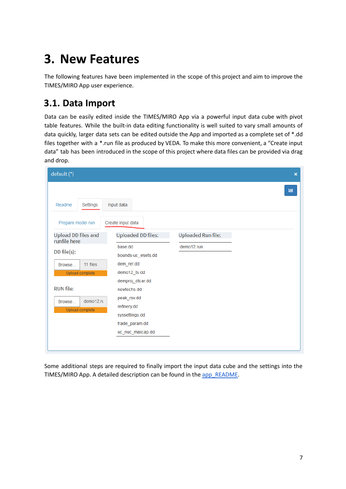## <span id="page-6-0"></span>**3. New Features**

The following features have been implemented in the scope of this project and aim to improve the TIMES/MIRO App user experience.

### <span id="page-6-1"></span>**3.1. Data Import**

Data can be easily edited inside the TIMES/MIRO App via a powerful input data cube with pivot table features. While the built-in data editing functionality is well suited to vary small amounts of data quickly, larger data sets can be edited outside the App and imported as a complete set of \*.dd files together with a \*.run file as produced by VEDA. To make this more convenient, a "Create input data" tab has been introduced in the scope of this project where data files can be provided via drag and drop.

| default (*)                                                                                                                                                      |                                                                                                                                                                                                                   |                                         | $\boldsymbol{\mathsf{x}}$ |
|------------------------------------------------------------------------------------------------------------------------------------------------------------------|-------------------------------------------------------------------------------------------------------------------------------------------------------------------------------------------------------------------|-----------------------------------------|---------------------------|
| Readme<br>Settings                                                                                                                                               | Input data                                                                                                                                                                                                        |                                         | 画                         |
| Prepare model run                                                                                                                                                | Create input data                                                                                                                                                                                                 |                                         |                           |
| <b>Upload DD files and</b><br>runfile here<br>DD file(s):<br>11 files<br>Browse<br>Upload complete<br><b>RUN file:</b><br>demo12.rt<br>Browse<br>Upload complete | <b>Uploaded DD files:</b><br>base.dd<br>bounds-uc wsets.dd<br>dem_ref.dd<br>demo12_ts.dd<br>demproj_dtcar.dd<br>newtechs.dd<br>peak_rsv.dd<br>refinery.dd<br>syssettings.dd<br>trade_param.dd<br>uc_nuc_maxcap.dd | <b>Uploaded Run file:</b><br>demo12.run |                           |

Some additional steps are required to finally import the input data cube and the settings into the TIMES/MIRO App. A detailed description can be found in the [app\\_README.](https://github.com/GAMS-dev/TIMES_MIRO/blob/master/app_README.md#create-input)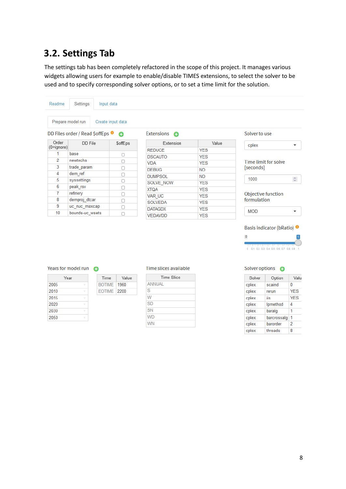## <span id="page-7-0"></span>**3.2. Settings Tab**

The settings tab has been completely refactored in the scope of this project. It manages various widgets allowing users for example to enable/disable TIMES extensions, to select the solver to be used and to specify corresponding solver options, or to set a time limit for the solution.

| Readme         | Settings                                 | Input data        |                     |            |                                   |
|----------------|------------------------------------------|-------------------|---------------------|------------|-----------------------------------|
|                | Prepare model run                        | Create input data |                     |            |                                   |
|                | DD Files order / Read \$offEps $\bullet$ | Θ                 | Extensions <b>C</b> |            | Solver to use                     |
| Order          | DD File                                  | \$offEps          | Extension           | Value      | cplex<br>$\overline{\phantom{a}}$ |
| $(0 = ignore)$ |                                          |                   | <b>REDUCE</b>       | <b>YES</b> |                                   |
| 1              | base                                     | $\Box$            | <b>DSCAUTO</b>      | <b>YES</b> |                                   |
| 2              | newtechs                                 | o                 | <b>VDA</b>          | <b>YES</b> | Time limit for solve              |
| 3              | trade param                              | o                 | <b>DEBUG</b>        | NO.        | [seconds]                         |
| 4              | dem ref                                  | o                 | <b>DUMPSOL</b>      | NO.        |                                   |
| 5              | syssettings                              | □                 | SOLVE NOW           | <b>YES</b> | $\mathbb{C}$<br>1000              |
| 6              | peak rsv                                 | O                 | <b>ADTX</b>         | <b>YES</b> |                                   |
| 7              | refinery                                 | □                 |                     |            | Objective function                |
| 8              | demproj dtcar                            | o                 | VAR UC              | <b>YES</b> | formulation                       |
| 9              | uc nuc maxcap                            | П                 | <b>SOLVEDA</b>      | <b>YES</b> |                                   |
| 10             | bounds-uc wsets                          |                   | <b>DATAGDX</b>      | <b>YES</b> | MOD<br>$\overline{\phantom{a}}$   |
|                |                                          | П                 | <b>VEDAVDD</b>      | <b>YES</b> |                                   |

### Years for model run O

Value

| Year      | Time                 | Val  |
|-----------|----------------------|------|
| 2005<br>v | <b>BOTIME</b>        | 1960 |
| 2010<br>v | <b>EOTIME   2200</b> |      |
| 2015<br>v |                      |      |
| 2020<br>v |                      |      |
| 2030<br>۰ |                      |      |
| 2050<br>v |                      |      |

#### Time slices available

| <b>Time Slice</b> |
|-------------------|
| ANNUAL            |
| S                 |
| W                 |
| <b>SD</b>         |
| <b>SN</b>         |
| <b>WD</b>         |
| <b>WN</b>         |

| Solver options |             |            |
|----------------|-------------|------------|
| Solver         | Option      | Valu       |
| cplex          | scaind      | 0          |
| cplex          | rerun       | <b>YES</b> |
| cplex          | iis         | <b>YES</b> |
| cplex          | Ipmethod    | 4          |
| cplex          | baralg      | 1          |
| cplex          | barcrossalg | 1          |
| cplex          | barorder    | 2          |
| cplex          | threads     | 8          |

0 0.1 0.2 0.3 0.4 0.5 0.6 0.7 0.8 0.9

 $\overline{1}$ 

 $\pmb{\mathsf{O}}$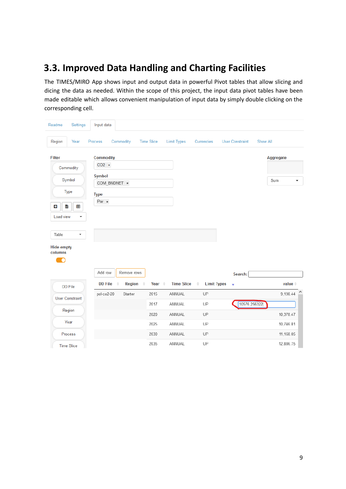### <span id="page-8-0"></span>**3.3. Improved Data Handling and Charting Facilities**

The TIMES/MIRO App shows input and output data in powerful Pivot tables that allow slicing and dicing the data as needed. Within the scope of this project, the input data pivot tables have been made editable which allows convenient manipulation of input data by simply double clicking on the corresponding cell.

| Readme                       | Settings                 | Input data       |               |                        |                    |                                     |                         |                    |
|------------------------------|--------------------------|------------------|---------------|------------------------|--------------------|-------------------------------------|-------------------------|--------------------|
| Region                       | Year                     | Process          | Commodity     | <b>Time Slice</b>      | <b>Limit Types</b> | Currencies                          | <b>User Constraint</b>  | Show All           |
| <b>Filter</b>                |                          | <b>Commodity</b> |               |                        |                    |                                     |                         | Aggregate          |
|                              | Commodity                | $CO2 \times$     |               |                        |                    |                                     |                         |                    |
|                              | Symbol                   | <b>Symbol</b>    | COM BNDNET *  |                        |                    |                                     |                         | Sum                |
|                              | Type                     | <b>Type</b>      |               |                        |                    |                                     |                         |                    |
| $\ddot{}$<br>흢               | æ                        | Par *            |               |                        |                    |                                     |                         |                    |
| Load view                    | $\overline{\phantom{a}}$ |                  |               |                        |                    |                                     |                         |                    |
|                              |                          |                  |               |                        |                    |                                     |                         |                    |
| Table                        | $\overline{\phantom{a}}$ |                  |               |                        |                    |                                     |                         |                    |
| <b>Hide empty</b><br>columns |                          |                  |               |                        |                    |                                     |                         |                    |
|                              |                          |                  |               |                        |                    |                                     |                         |                    |
|                              |                          | Add row          | Remove rows   |                        |                    |                                     | Search:                 |                    |
|                              | <b>DD</b> File           | <b>DD File</b>   | <b>Region</b> | Year $\triangleq$<br>٠ | <b>Time Slice</b>  | <b>Limit Types</b><br>$\Rightarrow$ | $\overline{\mathbf{v}}$ | value <sup>*</sup> |
|                              | <b>User Constraint</b>   | pol-co2-20       | Starter       | 2015                   | ANNUAL             | UP                                  |                         | 9,198.44           |
|                              | Region                   |                  |               | 2017<br>2020           | ANNUAL<br>ANNUAL   | UP<br>UP                            | 10576.256322            | 10,378.47          |
|                              | Year                     |                  |               | 2025                   | ANNUAL             | UP                                  |                         | 10,746.81          |
|                              | Process                  |                  |               | 2030                   | ANNUAL             | UP                                  |                         | 11,168.05          |
|                              | <b>Time Slice</b>        |                  |               | 2035                   | ANNUAL             | UP                                  |                         | 12,886.75          |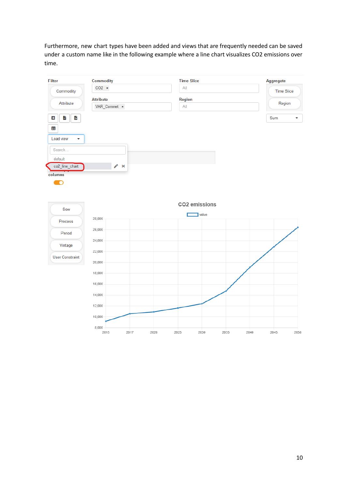Furthermore, new chart types have been added and views that are frequently needed can be saved under a custom name like in the following example where a line chart visualizes CO2 emissions over time.

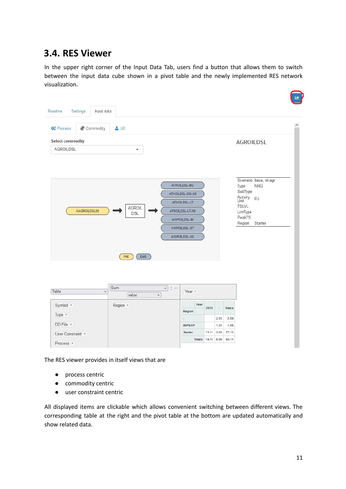### <span id="page-10-0"></span>**3.4. RES Viewer**

In the upper right corner of the Input Data Tab, users find a button that allows them to switch between the input data cube shown in a pivot table and the newly implemented RES network visualization.

| Input data<br>Readme<br>Settings           |                                                                     |                                                                                                                    |               |                                                                                                                                            |
|--------------------------------------------|---------------------------------------------------------------------|--------------------------------------------------------------------------------------------------------------------|---------------|--------------------------------------------------------------------------------------------------------------------------------------------|
| <b>C</b> <sup>e</sup> Process<br>Commodity | $\triangle$ UC                                                      |                                                                                                                    |               | $\wedge$                                                                                                                                   |
| <b>Select commodity</b>                    |                                                                     |                                                                                                                    |               | <b>AGROILDSL</b>                                                                                                                           |
| <b>AGROILDSL</b>                           | $\overline{\mathbf v}$                                              |                                                                                                                    |               |                                                                                                                                            |
| XAGROILDSL00                               | <b>AGROIL</b><br><b>DSL</b><br><b>PRE</b><br>DMD                    | ATHOILDSL-BG<br>ATHOILDSL-BG-X0<br>ATHOILDSL-LT<br>ATHOILDSL-LT-X0<br>AWPOILDSL-IM<br>AWPOILDSL-ST<br>AWPOILDSL-X0 |               | Scenario base, nt-agr<br><b>NRG</b><br>Type<br>SubType<br>Activity <sub>PJ</sub><br><b>TSLVL</b><br>LimType<br>PeakTS<br>Region<br>Starter |
| Table<br>$\checkmark$                      | Sum<br>$\vee$ $\uparrow$ $\leftrightarrow$<br>value<br>$\checkmark$ | Year v                                                                                                             |               |                                                                                                                                            |
| Symbol v<br>Type v                         | Region *                                                            | Year<br>2015<br>Region                                                                                             | <b>Totals</b> |                                                                                                                                            |
|                                            |                                                                     |                                                                                                                    | 2.00<br>2.00  |                                                                                                                                            |
| DD File v                                  |                                                                     | <b>IMPEXP</b>                                                                                                      | 1.00<br>1.00  |                                                                                                                                            |
| User Constraint v                          |                                                                     | <b>Starter</b><br>74.11                                                                                            | 3.00<br>77.11 |                                                                                                                                            |
| Process v                                  |                                                                     | Totals 74.11 6.00                                                                                                  | 80.11         |                                                                                                                                            |

The RES viewer provides in itself views that are

- process centric
- commodity centric
- user constraint centric

All displayed items are clickable which allows convenient switching between different views. The corresponding table at the right and the pivot table at the bottom are updated automatically and show related data.

.<br>M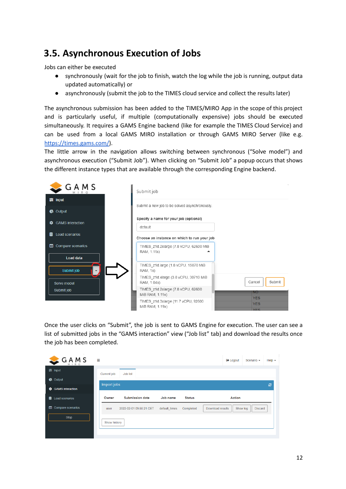### <span id="page-11-0"></span>**3.5. Asynchronous Execution of Jobs**

Jobs can either be executed

- synchronously (wait for the job to finish, watch the log while the job is running, output data updated automatically) or
- asynchronously (submit the job to the TIMES cloud service and collect the results later)

The asynchronous submission has been added to the TIMES/MIRO App in the scope of this project and is particularly useful, if multiple (computationally expensive) jobs should be executed simultaneously. It requires a GAMS Engine backend (like for example the TIMES Cloud Service) and can be used from a local GAMS MIRO installation or through GAMS MIRO Server (like e.g. [https://times.gams.com/\)](https://times.gams.com/).

The little arrow in the navigation allows switching between synchronous ("Solve model") and asynchronous execution ("Submit Job"). When clicking on "Submit Job" a popup occurs that shows the different instance types that are available through the corresponding Engine backend.

| $\subset$ GAMS               | Submit job                                              |                                        |
|------------------------------|---------------------------------------------------------|----------------------------------------|
| = Input                      |                                                         |                                        |
| Output<br>e                  | Submit a new job to be solved asynchronously.           |                                        |
| <b>GAMS</b> interaction<br>☎ | Specify a name for your job (optional)                  |                                        |
| Load scenarios               | default<br>Choose an instance on which to run your job  |                                        |
| Compare scenarios<br>▥       | TIMES z1d.2xlarge (7.8 vCPU, 62600 MiB<br>RAM, 1.11x)   |                                        |
| Load data                    |                                                         |                                        |
| Submit job                   | TIMES_z1d.large (1.8 vCPU, 15070 MiB<br><b>RAM, 1x)</b> |                                        |
| Solve model                  | TIMES z1d.xlarge (3.8 vCPU, 30710 MiB<br>RAM, 1.04x)    | Submit<br>Cancel                       |
| Submit job                   | TIMES z1d.2xlarge (7.8 vCPU, 62600<br>MiB RAM, 1.11x)   | 'NO                                    |
|                              | TIMES z1d.3xlarge (11.7 vCPU, 92600<br>MiB RAM, 1.19x)  | <b>YES</b><br><b>YES</b><br><b>YFS</b> |

Once the user clicks on "Submit", the job is sent to GAMS Engine for execution. The user can see a list of submitted jobs in the "GAMS interaction" view ("Job list" tab) and download the results once the job has been completed.

| $GAM_S$                      | $\equiv$     |                         |               |               |                  | <b>←</b> Logout | Scenario -     | $Help -$ |
|------------------------------|--------------|-------------------------|---------------|---------------|------------------|-----------------|----------------|----------|
| <b>≢</b> Input               | Current job  | Job list                |               |               |                  |                 |                |          |
| <b>C</b> Output              | Import jobs  |                         |               |               |                  |                 |                | ø        |
| <b>CAMS</b> interaction      |              |                         |               |               |                  |                 |                |          |
| 8<br><b>Load scenarios</b>   | Owner        | <b>Submission date</b>  | Job name      | <b>Status</b> |                  | Action          |                |          |
| <b>III</b> Compare scenarios | user         | 2022-02-01 09:55:21 CET | default times | Completed     | Download results | Show log        | <b>Discard</b> |          |
| Stop                         | Show history |                         |               |               |                  |                 |                |          |
|                              |              |                         |               |               |                  |                 |                |          |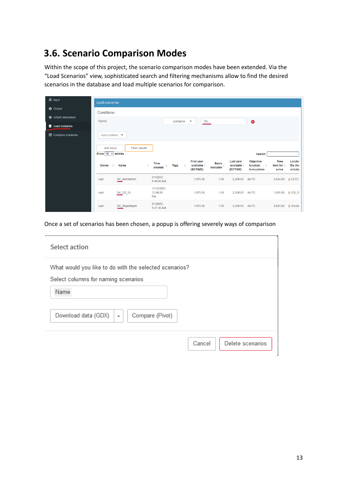### <span id="page-12-0"></span>**3.6. Scenario Comparison Modes**

Within the scope of this project, the scenario comparison modes have been extended. Via the "Load Scenarios" view, sophisticated search and filtering mechanisms allow to find the desired scenarios in the database and load multiple scenarios for comparison.

| <b>≢</b> Input                               | <b>Load scenarios</b>                      |                      |                               |          |                                                     |                           |                                                 |                                                       |                                         |                                   |
|----------------------------------------------|--------------------------------------------|----------------------|-------------------------------|----------|-----------------------------------------------------|---------------------------|-------------------------------------------------|-------------------------------------------------------|-----------------------------------------|-----------------------------------|
| C Output                                     | Conditions:                                |                      |                               |          |                                                     |                           |                                                 |                                                       |                                         |                                   |
| <b><math>\bullet</math></b> GAMS interaction | Name                                       |                      |                               | contains | DK<br>$\blacktriangledown$                          |                           |                                                 | $\bullet$                                             |                                         |                                   |
| <b>E</b> Load scenarios                      |                                            |                      |                               |          |                                                     |                           |                                                 |                                                       |                                         |                                   |
| <b>ID</b> Compare scenarios                  | Add condition ▼                            |                      |                               |          |                                                     |                           |                                                 |                                                       |                                         |                                   |
|                                              | <b>Add block</b><br>Show 10 $\vee$ entries | <b>Fetch results</b> |                               |          |                                                     |                           |                                                 | Search:                                               |                                         |                                   |
|                                              |                                            |                      |                               |          |                                                     |                           |                                                 |                                                       |                                         |                                   |
|                                              | Owner<br>$\Rightarrow$                     | Name                 | <b>Time</b><br>created        | Tags     | <b>First year</b><br>available $\doteq$<br>(BOTIME) | <b>Basis</b><br>indicator | Last year<br>available $\triangleq$<br>(EOTIME) | Objective<br>function<br>$\Rightarrow$<br>formulation | Time<br>limit for $\triangleq$<br>solve | Locatio<br>file (for<br>initializ |
|                                              | user                                       | DK_Alternativet      | 2/1/2022,<br>9:46:00 AM       |          | 1,970.00                                            | 1.00                      | 2,200.00                                        | <b>AUTO</b>                                           | 3,600.00                                | $II$ ./ $DCCC$                    |
|                                              | user                                       | $DK_CB_20$           | 11/12/2021.<br>12:06:55<br>PM |          | 1,970.00                                            | 1.00                      | 2,200.00 AUTO                                   |                                                       | 1,000.00                                | $  $ ./CB 20                      |

Once a set of scenarios has been chosen, a popup is offering severely ways of comparison

| Select action                                                                                 |                            |
|-----------------------------------------------------------------------------------------------|----------------------------|
| What would you like to do with the selected scenarios?<br>Select columns for naming scenarios |                            |
| Name                                                                                          |                            |
| Download data (GDX)<br>Compare (Pivot)<br>۰                                                   |                            |
|                                                                                               | Delete scenarios<br>Cancel |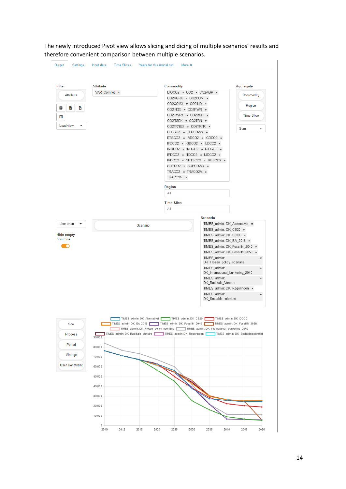The newly introduced Pivot view allows slicing and dicing of multiple scenarios' results and therefore convenient comparison between multiple scenarios.

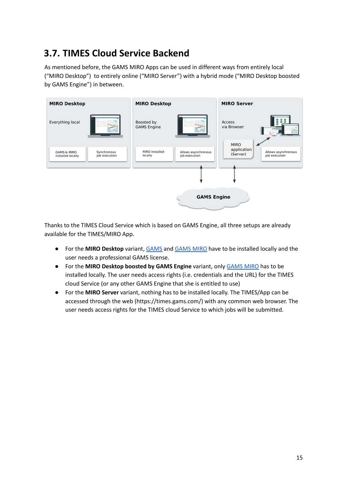### <span id="page-14-0"></span>**3.7. TIMES Cloud Service Backend**

As mentioned before, the GAMS MIRO Apps can be used in different ways from entirely local ("MIRO Desktop") to entirely online ("MIRO Server") with a hybrid mode ("MIRO Desktop boosted by GAMS Engine") in between.



Thanks to the TIMES Cloud Service which is based on GAMS Engine, all three setups are already available for the TIMES/MIRO App.

- For the **MIRO Desktop** variant, [GAMS](https://www.gams.com/download/) and [GAMS](https://www.gams.com/miro/download.html) MIRO have to be installed locally and the user needs a professional GAMS license.
- For the **MIRO Desktop boosted by GAMS Engine** variant, only [GAMS](https://www.gams.com/miro/download.html) MIRO has to be installed locally. The user needs access rights (i.e. credentials and the URL) for the TIMES cloud Service (or any other GAMS Engine that she is entitled to use)
- For the **MIRO Server** variant, nothing has to be installed locally. The TIMES/App can be accessed through the web (https://times.gams.com/) with any common web browser. The user needs access rights for the TIMES cloud Service to which jobs will be submitted.